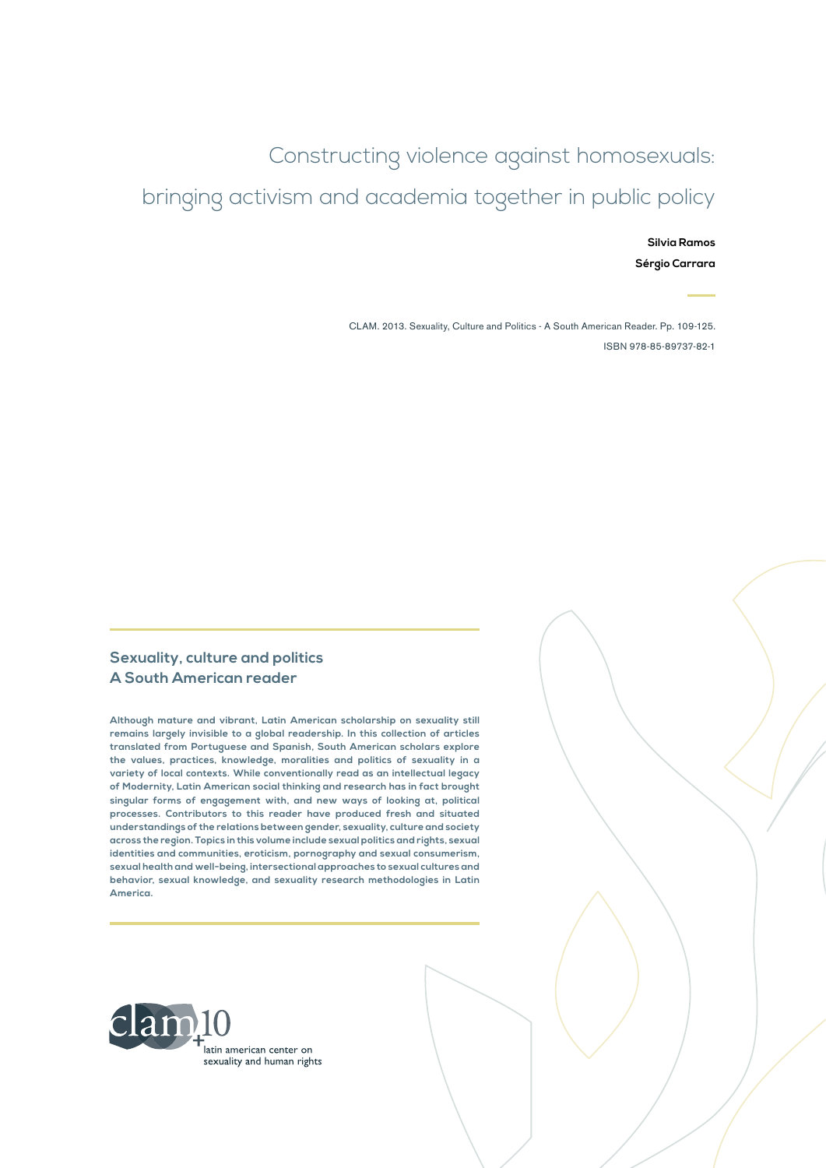Constructing violence against homosexuals: bringing activism and academia together in public policy

> **Silvia Ramos Sérgio Carrara**

CLAM. 2013. Sexuality, Culture and Politics - A South American Reader. Pp. 109-125. ISBN 978-85-89737-82-1

#### **Sexuality, culture and politics A South American reader**

**Although mature and vibrant, Latin American scholarship on sexuality still remains largely invisible to a global readership. In this collection of articles translated from Portuguese and Spanish, South American scholars explore the values, practices, knowledge, moralities and politics of sexuality in a variety of local contexts. While conventionally read as an intellectual legacy of Modernity, Latin American social thinking and research has in fact brought singular forms of engagement with, and new ways of looking at, political processes. Contributors to this reader have produced fresh and situated understandings of the relations between gender, sexuality, culture and society across the region. Topics in this volume include sexual politics and rights, sexual identities and communities, eroticism, pornography and sexual consumerism, sexual health and well-being, intersectional approaches to sexual cultures and behavior, sexual knowledge, and sexuality research methodologies in Latin America.**

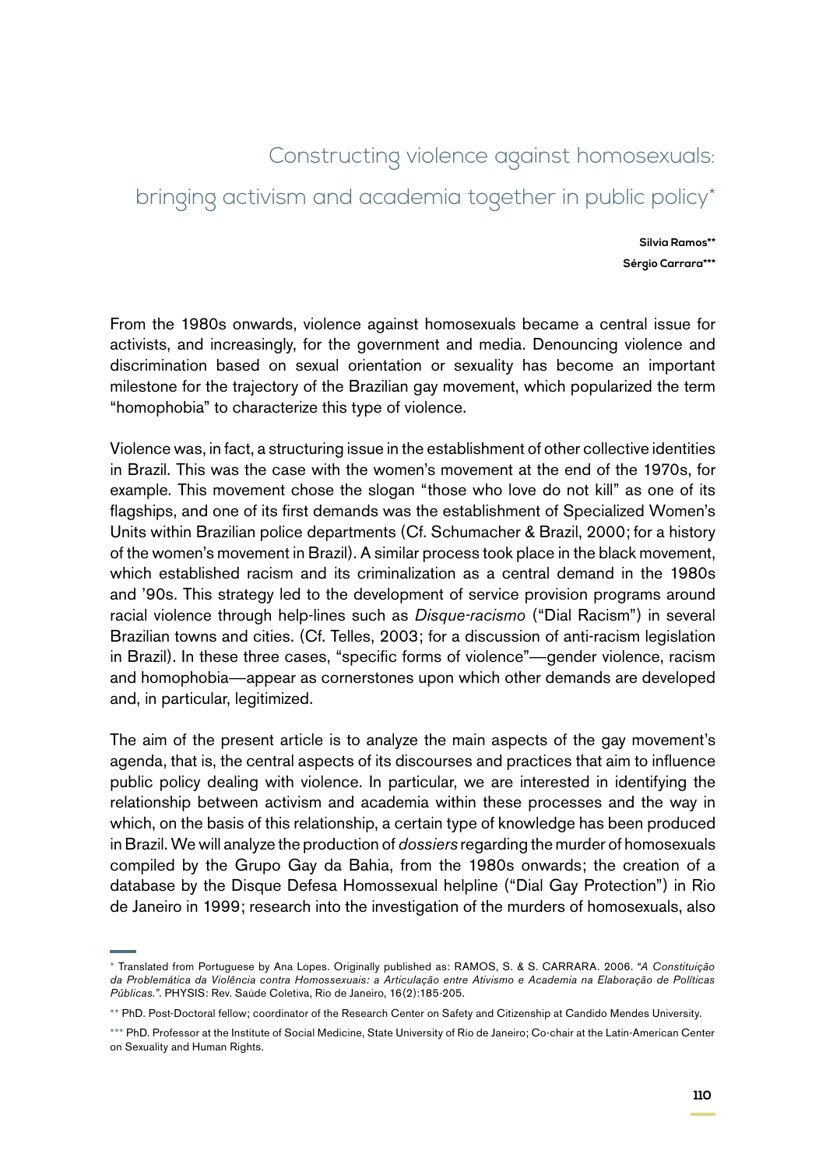# Constructing violence against homosexuals:

# bringing activism and academia together in public policy\*

**Silvia Ramos\*\* Sérgio Carrara\*\*\***

From the 1980s onwards, violence against homosexuals became a central issue for activists, and increasingly, for the government and media. Denouncing violence and discrimination based on sexual orientation or sexuality has become an important milestone for the trajectory of the Brazilian gay movement, which popularized the term "homophobia" to characterize this type of violence.

Violence was, in fact, a structuring issue in the establishment of other collective identities in Brazil. This was the case with the women's movement at the end of the 1970s, for example. This movement chose the slogan "those who love do not kill" as one of its flagships, and one of its first demands was the establishment of Specialized Women's Units within Brazilian police departments (Cf. Schumacher & Brazil, 2000; for a history of the women's movement in Brazil). A similar process took place in the black movement, which established racism and its criminalization as a central demand in the 1980s and '90s. This strategy led to the development of service provision programs around racial violence through help-lines such as *Disque-racismo* ("Dial Racism") in several Brazilian towns and cities. (Cf. Telles, 2003; for a discussion of anti-racism legislation in Brazil). In these three cases, "specific forms of violence"—gender violence, racism and homophobia—appear as cornerstones upon which other demands are developed and, in particular, legitimized.

The aim of the present article is to analyze the main aspects of the gay movement's agenda, that is, the central aspects of its discourses and practices that aim to influence public policy dealing with violence. In particular, we are interested in identifying the relationship between activism and academia within these processes and the way in which, on the basis of this relationship, a certain type of knowledge has been produced in Brazil. We will analyze the production of *dossiers* regarding the murder of homosexuals compiled by the Grupo Gay da Bahia, from the 1980s onwards; the creation of a database by the Disque Defesa Homossexual helpline ("Dial Gay Protection") in Rio de Janeiro in 1999; research into the investigation of the murders of homosexuals, also

<sup>\*</sup> Translated from Portuguese by Ana Lopes. Originally published as: RAMOS, S. & S. CARRARA. 2006. "*A Constituição da Problemática da Violência contra Homossexuais: a Articulação entre Ativismo e Academia na Elaboração de Políticas Públicas."*. PHYSIS: Rev. Saúde Coletiva, Rio de Janeiro, 16(2):185-205.

<sup>\*\*</sup> PhD. Post-Doctoral fellow; coordinator of the Research Center on Safety and Citizenship at Candido Mendes University.

<sup>\*\*\*</sup> PhD. Professor at the Institute of Social Medicine, State University of Rio de Janeiro; Co-chair at the Latin-American Center on Sexuality and Human Rights.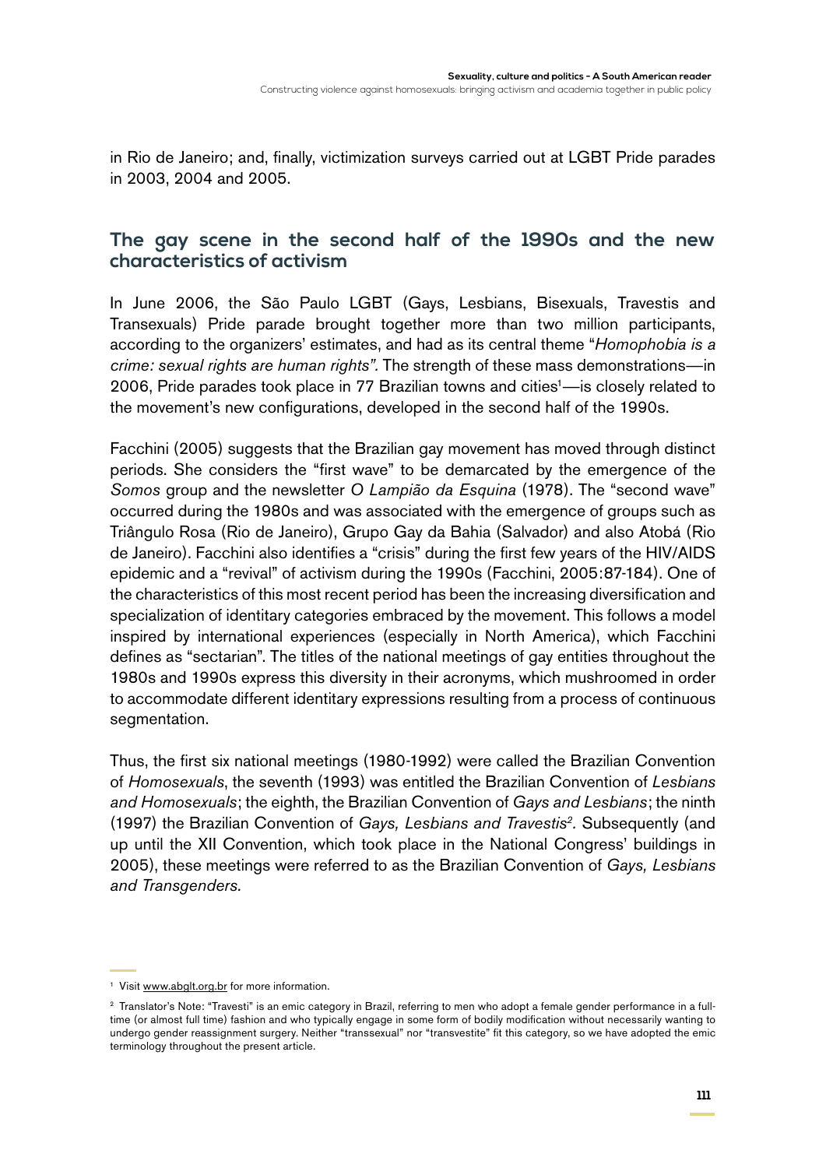in Rio de Janeiro; and, finally, victimization surveys carried out at LGBT Pride parades in 2003, 2004 and 2005.

### **The gay scene in the second half of the 1990s and the new characteristics of activism**

In June 2006, the São Paulo LGBT (Gays, Lesbians, Bisexuals, Travestis and Transexuals) Pride parade brought together more than two million participants, according to the organizers' estimates, and had as its central theme "*Homophobia is a crime: sexual rights are human rights".* The strength of these mass demonstrations—in 2006, Pride parades took place in 77 Brazilian towns and cities<sup>1</sup>—is closely related to the movement's new configurations, developed in the second half of the 1990s.

Facchini (2005) suggests that the Brazilian gay movement has moved through distinct periods. She considers the "first wave" to be demarcated by the emergence of the *Somos* group and the newsletter *O Lampião da Esquina* (1978). The "second wave" occurred during the 1980s and was associated with the emergence of groups such as Triângulo Rosa (Rio de Janeiro), Grupo Gay da Bahia (Salvador) and also Atobá (Rio de Janeiro). Facchini also identifies a "crisis" during the first few years of the HIV/AIDS epidemic and a "revival" of activism during the 1990s (Facchini, 2005:87-184). One of the characteristics of this most recent period has been the increasing diversification and specialization of identitary categories embraced by the movement. This follows a model inspired by international experiences (especially in North America), which Facchini defines as "sectarian". The titles of the national meetings of gay entities throughout the 1980s and 1990s express this diversity in their acronyms, which mushroomed in order to accommodate different identitary expressions resulting from a process of continuous segmentation.

Thus, the first six national meetings (1980-1992) were called the Brazilian Convention of *Homosexuals*, the seventh (1993) was entitled the Brazilian Convention of *Lesbians and Homosexuals*; the eighth, the Brazilian Convention of *Gays and Lesbians*; the ninth (1997) the Brazilian Convention of *Gays, Lesbians and Travestis2.* Subsequently (and up until the XII Convention, which took place in the National Congress' buildings in 2005), these meetings were referred to as the Brazilian Convention of *Gays, Lesbians and Transgenders.*

<sup>&</sup>lt;sup>1</sup> Visit [www.abglt.org.br](http://www.abglt.org.br) for more information.

<sup>&</sup>lt;sup>2</sup> Translator's Note: "Travesti" is an emic category in Brazil, referring to men who adopt a female gender performance in a fulltime (or almost full time) fashion and who typically engage in some form of bodily modification without necessarily wanting to undergo gender reassignment surgery. Neither "transsexual" nor "transvestite" fit this category, so we have adopted the emic terminology throughout the present article.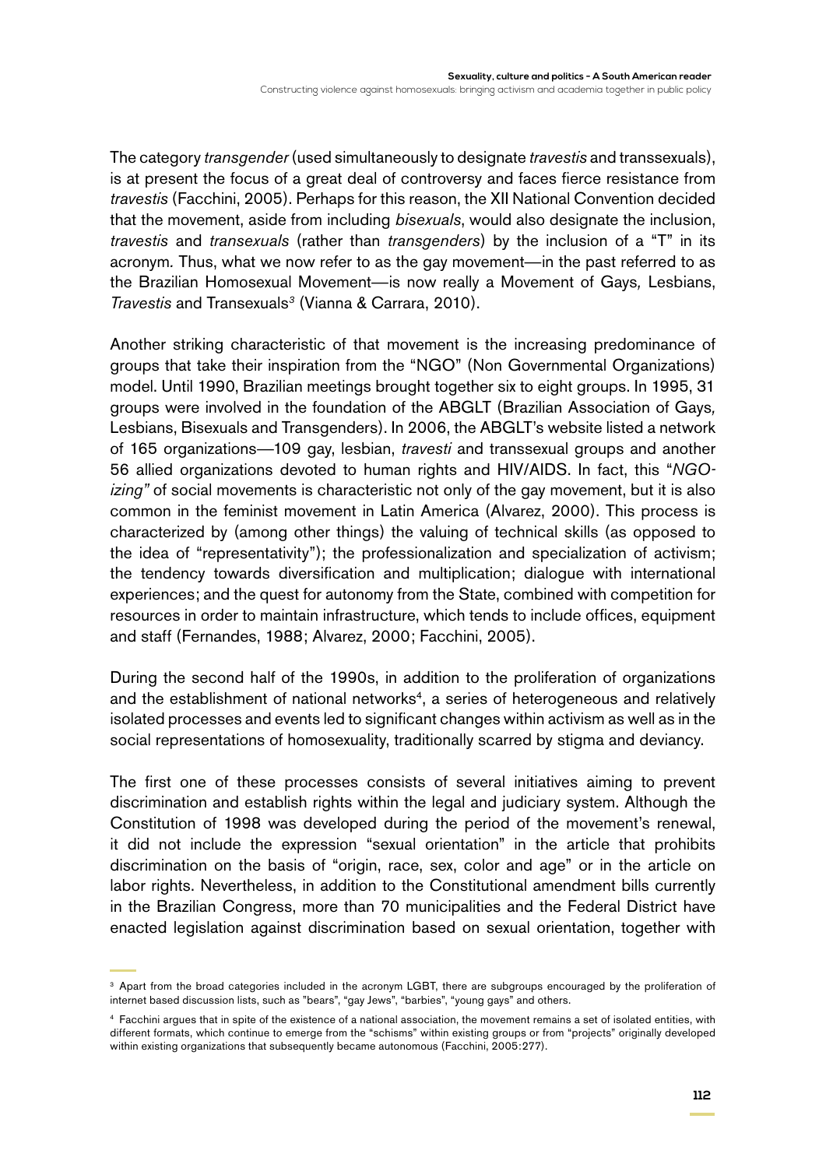The category *transgender* (used simultaneously to designate *travestis* and transsexuals), is at present the focus of a great deal of controversy and faces fierce resistance from *travestis* (Facchini, 2005). Perhaps for this reason, the XII National Convention decided that the movement, aside from including *bisexuals*, would also designate the inclusion, *travestis* and *transexuals* (rather than *transgenders*) by the inclusion of a "T" in its acronym*.* Thus, what we now refer to as the gay movement—in the past referred to as the Brazilian Homosexual Movement—is now really a Movement of Gays*,* Lesbians, *Travestis* and Transexuals*<sup>3</sup>* (Vianna & Carrara, 2010).

Another striking characteristic of that movement is the increasing predominance of groups that take their inspiration from the "NGO" (Non Governmental Organizations) model. Until 1990, Brazilian meetings brought together six to eight groups. In 1995, 31 groups were involved in the foundation of the ABGLT (Brazilian Association of Gays*,*  Lesbians, Bisexuals and Transgenders). In 2006, the ABGLT's website listed a network of 165 organizations—109 gay, lesbian, *travesti* and transsexual groups and another 56 allied organizations devoted to human rights and HIV/AIDS. In fact, this "*NGOizing"* of social movements is characteristic not only of the gay movement, but it is also common in the feminist movement in Latin America (Alvarez, 2000). This process is characterized by (among other things) the valuing of technical skills (as opposed to the idea of "representativity"); the professionalization and specialization of activism; the tendency towards diversification and multiplication; dialogue with international experiences; and the quest for autonomy from the State, combined with competition for resources in order to maintain infrastructure, which tends to include offices, equipment and staff (Fernandes, 1988; Alvarez, 2000; Facchini, 2005).

During the second half of the 1990s, in addition to the proliferation of organizations and the establishment of national networks<sup>4</sup>, a series of heterogeneous and relatively isolated processes and events led to significant changes within activism as well as in the social representations of homosexuality, traditionally scarred by stigma and deviancy.

The first one of these processes consists of several initiatives aiming to prevent discrimination and establish rights within the legal and judiciary system. Although the Constitution of 1998 was developed during the period of the movement's renewal, it did not include the expression "sexual orientation" in the article that prohibits discrimination on the basis of "origin, race, sex, color and age" or in the article on labor rights. Nevertheless, in addition to the Constitutional amendment bills currently in the Brazilian Congress, more than 70 municipalities and the Federal District have enacted legislation against discrimination based on sexual orientation, together with

<sup>&</sup>lt;sup>3</sup> Apart from the broad categories included in the acronym LGBT, there are subgroups encouraged by the proliferation of internet based discussion lists, such as "bears", "gay Jews", "barbies", "young gays" and others.

<sup>4</sup> Facchini argues that in spite of the existence of a national association, the movement remains a set of isolated entities, with different formats, which continue to emerge from the "schisms" within existing groups or from "projects" originally developed within existing organizations that subsequently became autonomous (Facchini, 2005:277).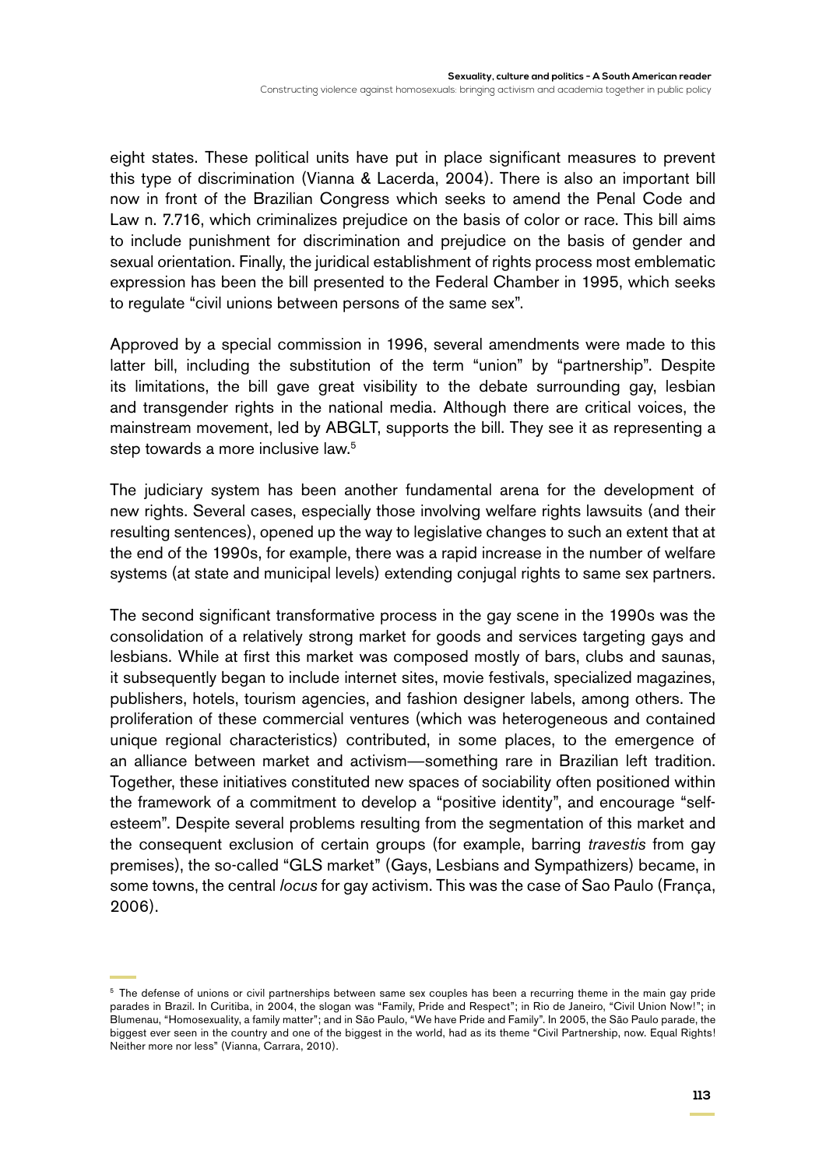eight states. These political units have put in place significant measures to prevent this type of discrimination (Vianna & Lacerda, 2004). There is also an important bill now in front of the Brazilian Congress which seeks to amend the Penal Code and Law n. 7.716, which criminalizes prejudice on the basis of color or race. This bill aims to include punishment for discrimination and prejudice on the basis of gender and sexual orientation. Finally, the juridical establishment of rights process most emblematic expression has been the bill presented to the Federal Chamber in 1995, which seeks to regulate "civil unions between persons of the same sex".

Approved by a special commission in 1996, several amendments were made to this latter bill, including the substitution of the term "union" by "partnership". Despite its limitations, the bill gave great visibility to the debate surrounding gay, lesbian and transgender rights in the national media. Although there are critical voices, the mainstream movement, led by ABGLT, supports the bill. They see it as representing a step towards a more inclusive law.<sup>5</sup>

The judiciary system has been another fundamental arena for the development of new rights. Several cases, especially those involving welfare rights lawsuits (and their resulting sentences), opened up the way to legislative changes to such an extent that at the end of the 1990s, for example, there was a rapid increase in the number of welfare systems (at state and municipal levels) extending conjugal rights to same sex partners.

The second significant transformative process in the gay scene in the 1990s was the consolidation of a relatively strong market for goods and services targeting gays and lesbians. While at first this market was composed mostly of bars, clubs and saunas, it subsequently began to include internet sites, movie festivals, specialized magazines, publishers, hotels, tourism agencies, and fashion designer labels, among others. The proliferation of these commercial ventures (which was heterogeneous and contained unique regional characteristics) contributed, in some places, to the emergence of an alliance between market and activism—something rare in Brazilian left tradition. Together, these initiatives constituted new spaces of sociability often positioned within the framework of a commitment to develop a "positive identity", and encourage "selfesteem". Despite several problems resulting from the segmentation of this market and the consequent exclusion of certain groups (for example, barring *travestis* from gay premises), the so-called "GLS market" (Gays, Lesbians and Sympathizers) became, in some towns, the central *locus* for gay activism. This was the case of Sao Paulo (França, 2006).

<sup>&</sup>lt;sup>5</sup> The defense of unions or civil partnerships between same sex couples has been a recurring theme in the main gay pride parades in Brazil. In Curitiba, in 2004, the slogan was "Family, Pride and Respect"; in Rio de Janeiro, "Civil Union Now!"; in Blumenau, "Homosexuality, a family matter"; and in São Paulo, "We have Pride and Family". In 2005, the São Paulo parade, the biggest ever seen in the country and one of the biggest in the world, had as its theme "Civil Partnership, now. Equal Rights! Neither more nor less" (Vianna, Carrara, 2010).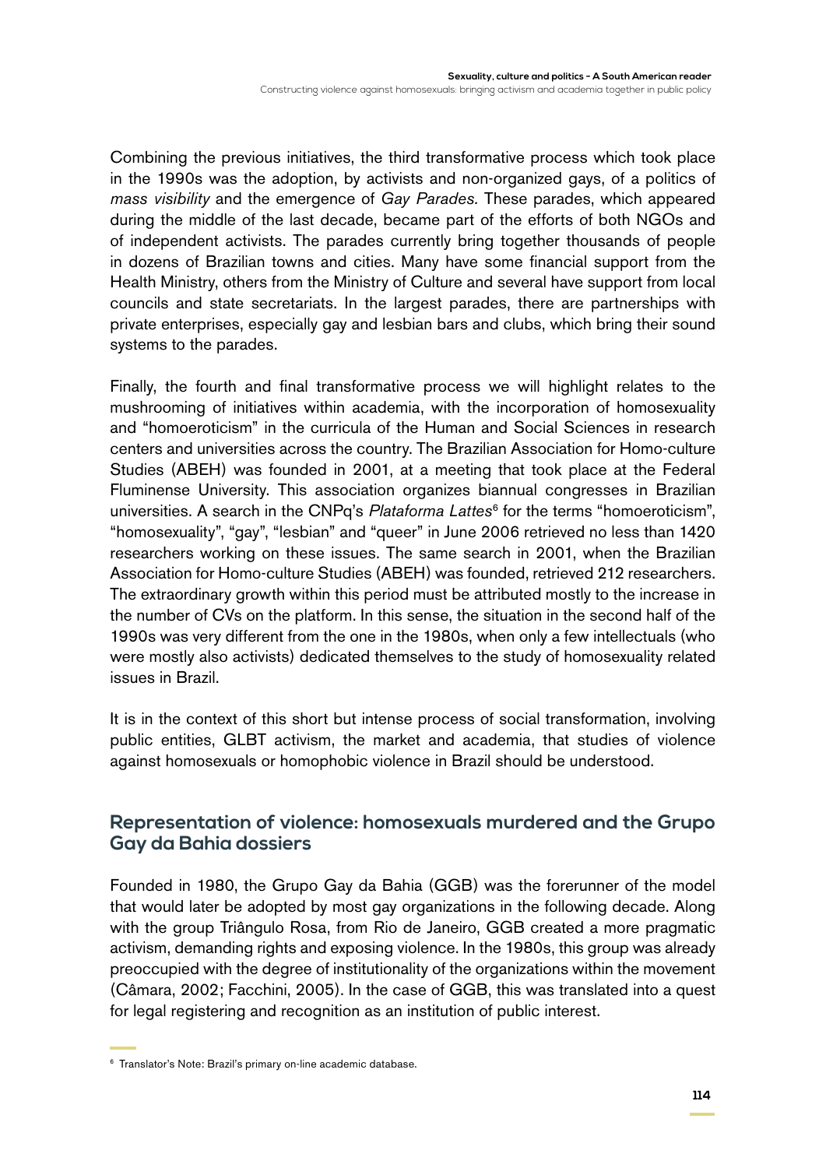Combining the previous initiatives, the third transformative process which took place in the 1990s was the adoption, by activists and non-organized gays, of a politics of *mass visibility* and the emergence of *Gay Parades.* These parades, which appeared during the middle of the last decade, became part of the efforts of both NGOs and of independent activists. The parades currently bring together thousands of people in dozens of Brazilian towns and cities. Many have some financial support from the Health Ministry, others from the Ministry of Culture and several have support from local councils and state secretariats. In the largest parades, there are partnerships with private enterprises, especially gay and lesbian bars and clubs, which bring their sound systems to the parades.

Finally, the fourth and final transformative process we will highlight relates to the mushrooming of initiatives within academia, with the incorporation of homosexuality and "homoeroticism" in the curricula of the Human and Social Sciences in research centers and universities across the country. The Brazilian Association for Homo-culture Studies (ABEH) was founded in 2001, at a meeting that took place at the Federal Fluminense University. This association organizes biannual congresses in Brazilian universities. A search in the CNPq's *Plataforma Lattes<sup>6</sup>* for the terms "homoeroticism", "homosexuality", "gay", "lesbian" and "queer" in June 2006 retrieved no less than 1420 researchers working on these issues. The same search in 2001, when the Brazilian Association for Homo-culture Studies (ABEH) was founded, retrieved 212 researchers. The extraordinary growth within this period must be attributed mostly to the increase in the number of CVs on the platform. In this sense, the situation in the second half of the 1990s was very different from the one in the 1980s, when only a few intellectuals (who were mostly also activists) dedicated themselves to the study of homosexuality related issues in Brazil.

It is in the context of this short but intense process of social transformation, involving public entities, GLBT activism, the market and academia, that studies of violence against homosexuals or homophobic violence in Brazil should be understood.

# **Representation of violence: homosexuals murdered and the Grupo Gay da Bahia dossiers**

Founded in 1980, the Grupo Gay da Bahia (GGB) was the forerunner of the model that would later be adopted by most gay organizations in the following decade. Along with the group Triângulo Rosa, from Rio de Janeiro, GGB created a more pragmatic activism, demanding rights and exposing violence. In the 1980s, this group was already preoccupied with the degree of institutionality of the organizations within the movement (Câmara, 2002; Facchini, 2005). In the case of GGB, this was translated into a quest for legal registering and recognition as an institution of public interest.

<sup>6</sup> Translator's Note: Brazil's primary on-line academic database.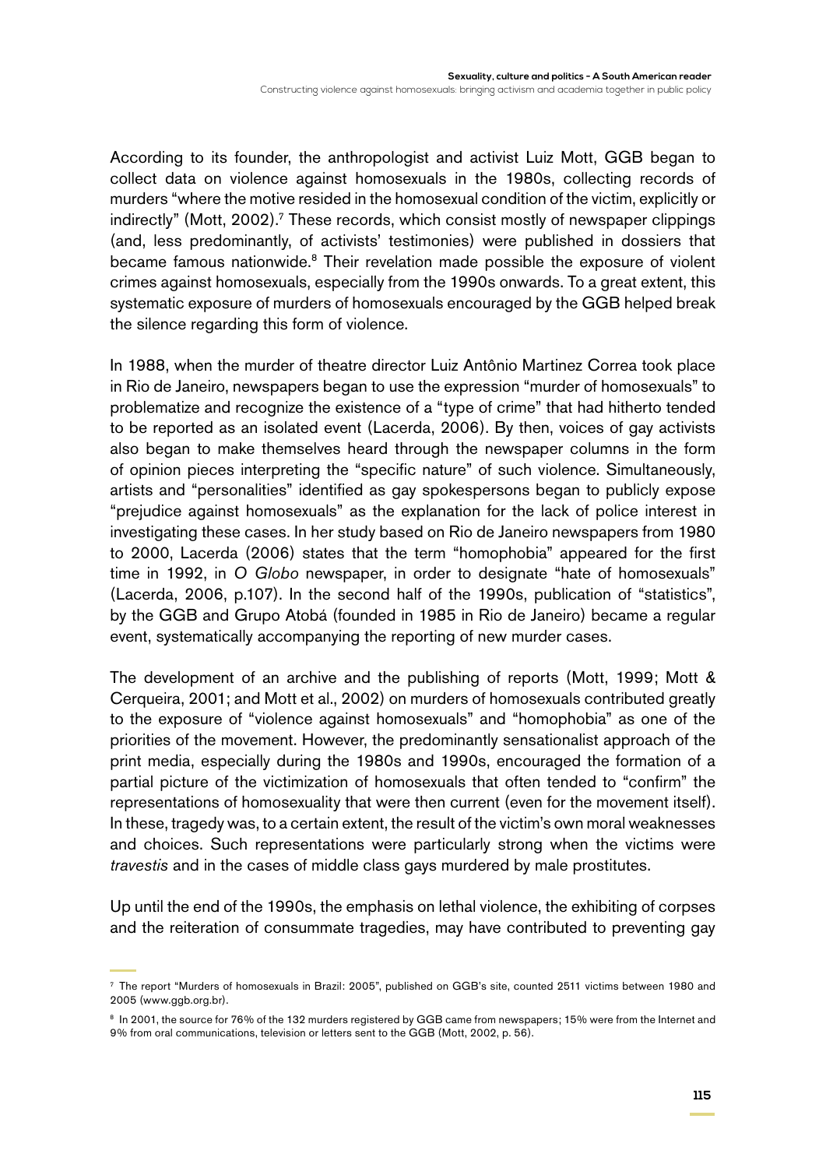According to its founder, the anthropologist and activist Luiz Mott, GGB began to collect data on violence against homosexuals in the 1980s, collecting records of murders "where the motive resided in the homosexual condition of the victim, explicitly or indirectly" (Mott, 2002).<sup>7</sup> These records, which consist mostly of newspaper clippings (and, less predominantly, of activists' testimonies) were published in dossiers that became famous nationwide.<sup>8</sup> Their revelation made possible the exposure of violent crimes against homosexuals, especially from the 1990s onwards. To a great extent, this systematic exposure of murders of homosexuals encouraged by the GGB helped break the silence regarding this form of violence.

In 1988, when the murder of theatre director Luiz Antônio Martinez Correa took place in Rio de Janeiro, newspapers began to use the expression "murder of homosexuals" to problematize and recognize the existence of a "type of crime" that had hitherto tended to be reported as an isolated event (Lacerda, 2006). By then, voices of gay activists also began to make themselves heard through the newspaper columns in the form of opinion pieces interpreting the "specific nature" of such violence. Simultaneously, artists and "personalities" identified as gay spokespersons began to publicly expose "prejudice against homosexuals" as the explanation for the lack of police interest in investigating these cases. In her study based on Rio de Janeiro newspapers from 1980 to 2000, Lacerda (2006) states that the term "homophobia" appeared for the first time in 1992, in *O Globo* newspaper, in order to designate "hate of homosexuals" (Lacerda, 2006, p.107). In the second half of the 1990s, publication of "statistics", by the GGB and Grupo Atobá (founded in 1985 in Rio de Janeiro) became a regular event, systematically accompanying the reporting of new murder cases.

The development of an archive and the publishing of reports (Mott, 1999; Mott & Cerqueira, 2001; and Mott et al., 2002) on murders of homosexuals contributed greatly to the exposure of "violence against homosexuals" and "homophobia" as one of the priorities of the movement. However, the predominantly sensationalist approach of the print media, especially during the 1980s and 1990s, encouraged the formation of a partial picture of the victimization of homosexuals that often tended to "confirm" the representations of homosexuality that were then current (even for the movement itself). In these, tragedy was, to a certain extent, the result of the victim's own moral weaknesses and choices. Such representations were particularly strong when the victims were *travestis* and in the cases of middle class gays murdered by male prostitutes.

Up until the end of the 1990s, the emphasis on lethal violence, the exhibiting of corpses and the reiteration of consummate tragedies, may have contributed to preventing gay

<sup>7</sup> The report "Murders of homosexuals in Brazil: 2005", published on GGB's site, counted 2511 victims between 1980 and 2005 (www.ggb.org.br).

<sup>&</sup>lt;sup>8</sup> In 2001, the source for 76% of the 132 murders registered by GGB came from newspapers; 15% were from the Internet and 9% from oral communications, television or letters sent to the GGB (Mott, 2002, p. 56).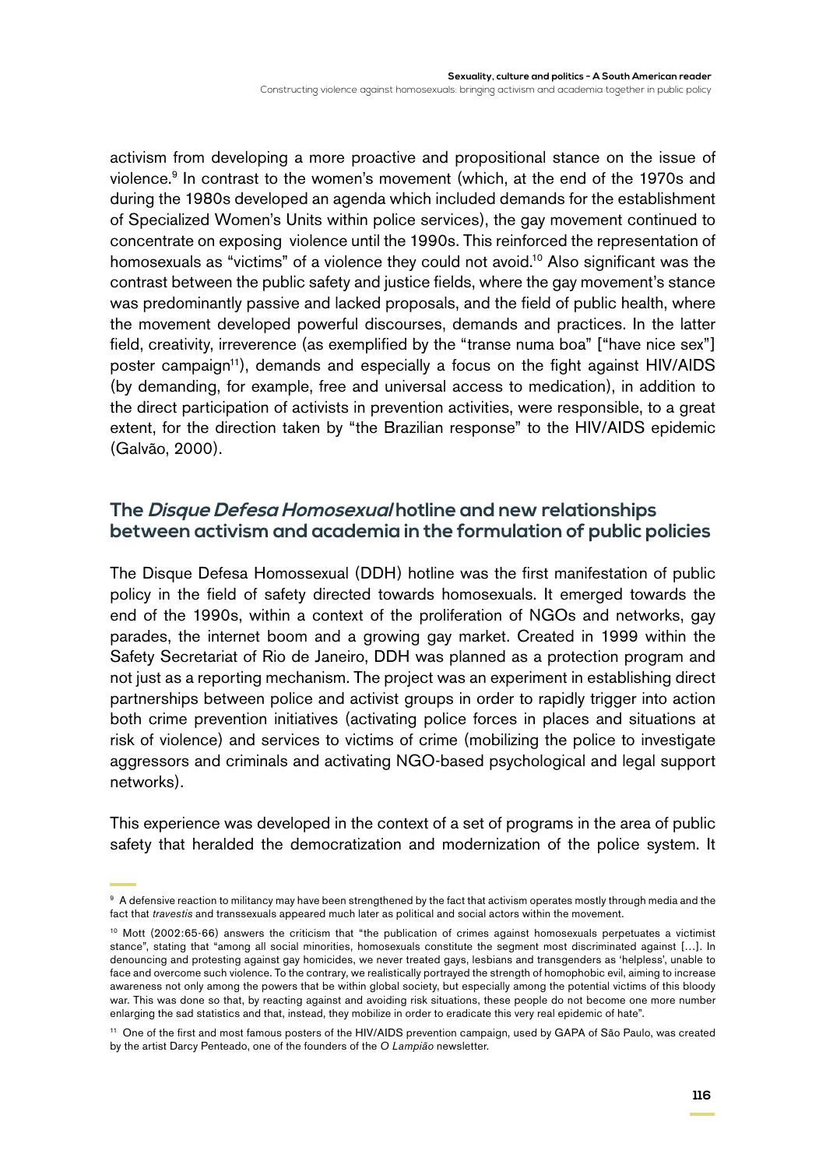Constructing violence against homosexuals: bringing activism and academia together in public policy

activism from developing a more proactive and propositional stance on the issue of violence.9 In contrast to the women's movement (which, at the end of the 1970s and during the 1980s developed an agenda which included demands for the establishment of Specialized Women's Units within police services), the gay movement continued to concentrate on exposing violence until the 1990s. This reinforced the representation of homosexuals as "victims" of a violence they could not avoid.<sup>10</sup> Also significant was the contrast between the public safety and justice fields, where the gay movement's stance was predominantly passive and lacked proposals, and the field of public health, where the movement developed powerful discourses, demands and practices. In the latter field, creativity, irreverence (as exemplified by the "transe numa boa" ["have nice sex"] poster campaign<sup>11</sup>), demands and especially a focus on the fight against HIV/AIDS (by demanding, for example, free and universal access to medication), in addition to the direct participation of activists in prevention activities, were responsible, to a great extent, for the direction taken by "the Brazilian response" to the HIV/AIDS epidemic (Galvão, 2000).

#### **The Disque Defesa Homosexual hotline and new relationships between activism and academia in the formulation of public policies**

The Disque Defesa Homossexual (DDH) hotline was the first manifestation of public policy in the field of safety directed towards homosexuals. It emerged towards the end of the 1990s, within a context of the proliferation of NGOs and networks, gay parades, the internet boom and a growing gay market. Created in 1999 within the Safety Secretariat of Rio de Janeiro, DDH was planned as a protection program and not just as a reporting mechanism. The project was an experiment in establishing direct partnerships between police and activist groups in order to rapidly trigger into action both crime prevention initiatives (activating police forces in places and situations at risk of violence) and services to victims of crime (mobilizing the police to investigate aggressors and criminals and activating NGO-based psychological and legal support networks).

This experience was developed in the context of a set of programs in the area of public safety that heralded the democratization and modernization of the police system. It

<sup>&</sup>lt;sup>9</sup> A defensive reaction to militancy may have been strengthened by the fact that activism operates mostly through media and the fact that *travestis* and transsexuals appeared much later as political and social actors within the movement.

<sup>&</sup>lt;sup>10</sup> Mott (2002:65-66) answers the criticism that "the publication of crimes against homosexuals perpetuates a victimist stance", stating that "among all social minorities, homosexuals constitute the segment most discriminated against […]. In denouncing and protesting against gay homicides, we never treated gays, lesbians and transgenders as 'helpless', unable to face and overcome such violence. To the contrary, we realistically portrayed the strength of homophobic evil, aiming to increase awareness not only among the powers that be within global society, but especially among the potential victims of this bloody war. This was done so that, by reacting against and avoiding risk situations, these people do not become one more number enlarging the sad statistics and that, instead, they mobilize in order to eradicate this very real epidemic of hate".

<sup>11</sup> One of the first and most famous posters of the HIV/AIDS prevention campaign, used by GAPA of São Paulo, was created by the artist Darcy Penteado, one of the founders of the *O Lampião* newsletter*.*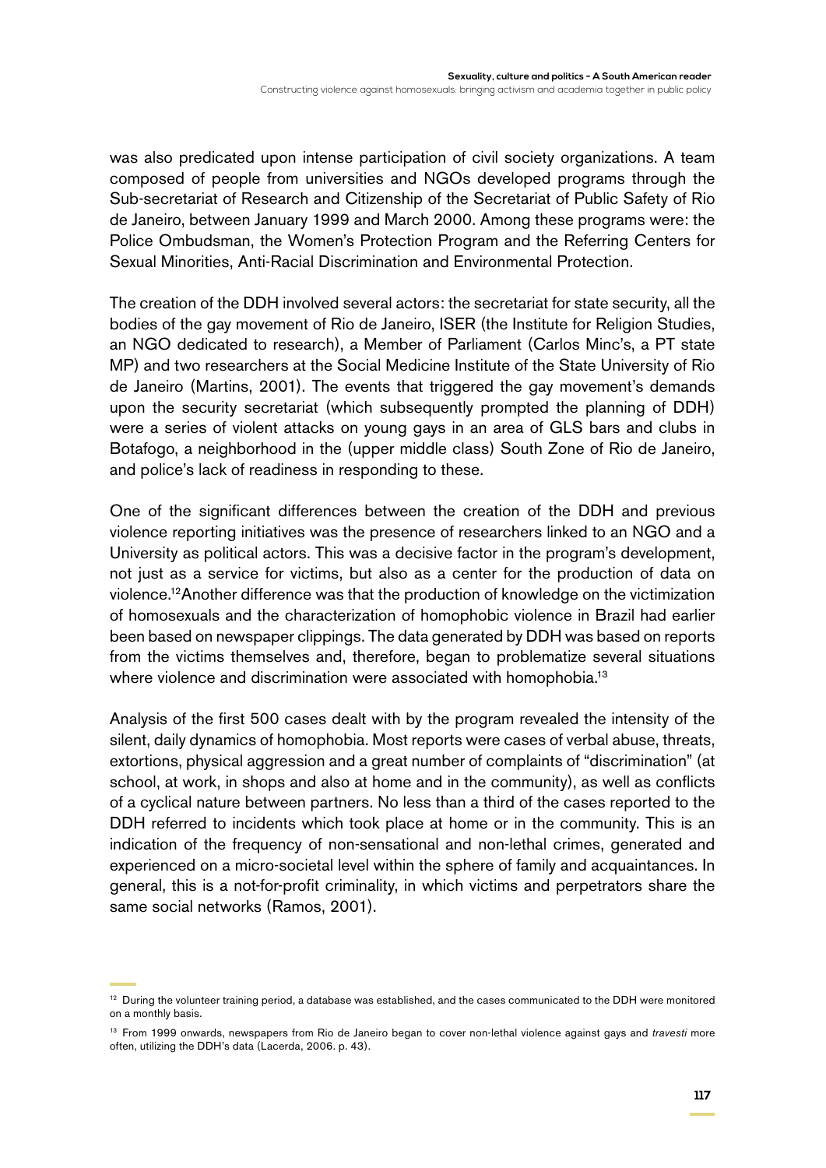was also predicated upon intense participation of civil society organizations. A team composed of people from universities and NGOs developed programs through the Sub-secretariat of Research and Citizenship of the Secretariat of Public Safety of Rio de Janeiro, between January 1999 and March 2000. Among these programs were: the Police Ombudsman, the Women's Protection Program and the Referring Centers for Sexual Minorities, Anti-Racial Discrimination and Environmental Protection.

The creation of the DDH involved several actors: the secretariat for state security, all the bodies of the gay movement of Rio de Janeiro, ISER (the Institute for Religion Studies, an NGO dedicated to research), a Member of Parliament (Carlos Minc's, a PT state MP) and two researchers at the Social Medicine Institute of the State University of Rio de Janeiro (Martins, 2001). The events that triggered the gay movement's demands upon the security secretariat (which subsequently prompted the planning of DDH) were a series of violent attacks on young gays in an area of GLS bars and clubs in Botafogo, a neighborhood in the (upper middle class) South Zone of Rio de Janeiro, and police's lack of readiness in responding to these.

One of the significant differences between the creation of the DDH and previous violence reporting initiatives was the presence of researchers linked to an NGO and a University as political actors. This was a decisive factor in the program's development, not just as a service for victims, but also as a center for the production of data on violence.12Another difference was that the production of knowledge on the victimization of homosexuals and the characterization of homophobic violence in Brazil had earlier been based on newspaper clippings. The data generated by DDH was based on reports from the victims themselves and, therefore, began to problematize several situations where violence and discrimination were associated with homophobia.<sup>13</sup>

Analysis of the first 500 cases dealt with by the program revealed the intensity of the silent, daily dynamics of homophobia. Most reports were cases of verbal abuse, threats, extortions, physical aggression and a great number of complaints of "discrimination" (at school, at work, in shops and also at home and in the community), as well as conflicts of a cyclical nature between partners. No less than a third of the cases reported to the DDH referred to incidents which took place at home or in the community. This is an indication of the frequency of non-sensational and non-lethal crimes, generated and experienced on a micro-societal level within the sphere of family and acquaintances. In general, this is a not-for-profit criminality, in which victims and perpetrators share the same social networks (Ramos, 2001).

<sup>&</sup>lt;sup>12</sup> During the volunteer training period, a database was established, and the cases communicated to the DDH were monitored on a monthly basis.

<sup>13</sup> From 1999 onwards, newspapers from Rio de Janeiro began to cover non-lethal violence against gays and *travesti* more often, utilizing the DDH's data (Lacerda, 2006. p. 43).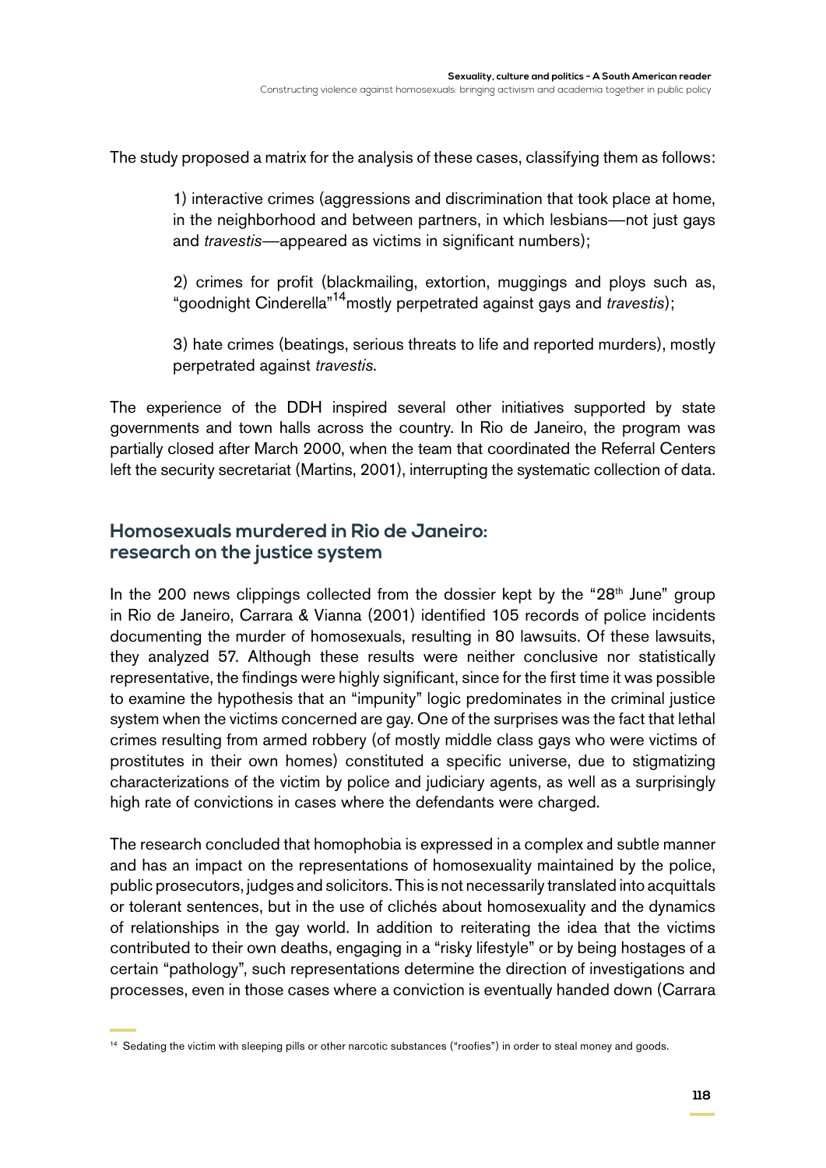The study proposed a matrix for the analysis of these cases, classifying them as follows:

1) interactive crimes (aggressions and discrimination that took place at home, in the neighborhood and between partners, in which lesbians—not just gays and *travestis*—appeared as victims in significant numbers);

2) crimes for profit (blackmailing, extortion, muggings and ploys such as, "goodnight Cinderella"14mostly perpetrated against gays and *travestis*);

3) hate crimes (beatings, serious threats to life and reported murders), mostly perpetrated against *travestis*.

The experience of the DDH inspired several other initiatives supported by state governments and town halls across the country. In Rio de Janeiro, the program was partially closed after March 2000, when the team that coordinated the Referral Centers left the security secretariat (Martins, 2001), interrupting the systematic collection of data.

### **Homosexuals murdered in Rio de Janeiro: research on the justice system**

In the 200 news clippings collected from the dossier kept by the "28<sup>th</sup> June" group in Rio de Janeiro, Carrara & Vianna (2001) identified 105 records of police incidents documenting the murder of homosexuals, resulting in 80 lawsuits. Of these lawsuits, they analyzed 57. Although these results were neither conclusive nor statistically representative, the findings were highly significant, since for the first time it was possible to examine the hypothesis that an "impunity" logic predominates in the criminal justice system when the victims concerned are gay. One of the surprises was the fact that lethal crimes resulting from armed robbery (of mostly middle class gays who were victims of prostitutes in their own homes) constituted a specific universe, due to stigmatizing characterizations of the victim by police and judiciary agents, as well as a surprisingly high rate of convictions in cases where the defendants were charged.

The research concluded that homophobia is expressed in a complex and subtle manner and has an impact on the representations of homosexuality maintained by the police, public prosecutors, judges and solicitors. This is not necessarily translated into acquittals or tolerant sentences, but in the use of clichés about homosexuality and the dynamics of relationships in the gay world. In addition to reiterating the idea that the victims contributed to their own deaths, engaging in a "risky lifestyle" or by being hostages of a certain "pathology", such representations determine the direction of investigations and processes, even in those cases where a conviction is eventually handed down (Carrara

<sup>&</sup>lt;sup>14</sup> Sedating the victim with sleeping pills or other narcotic substances ("roofies") in order to steal money and goods.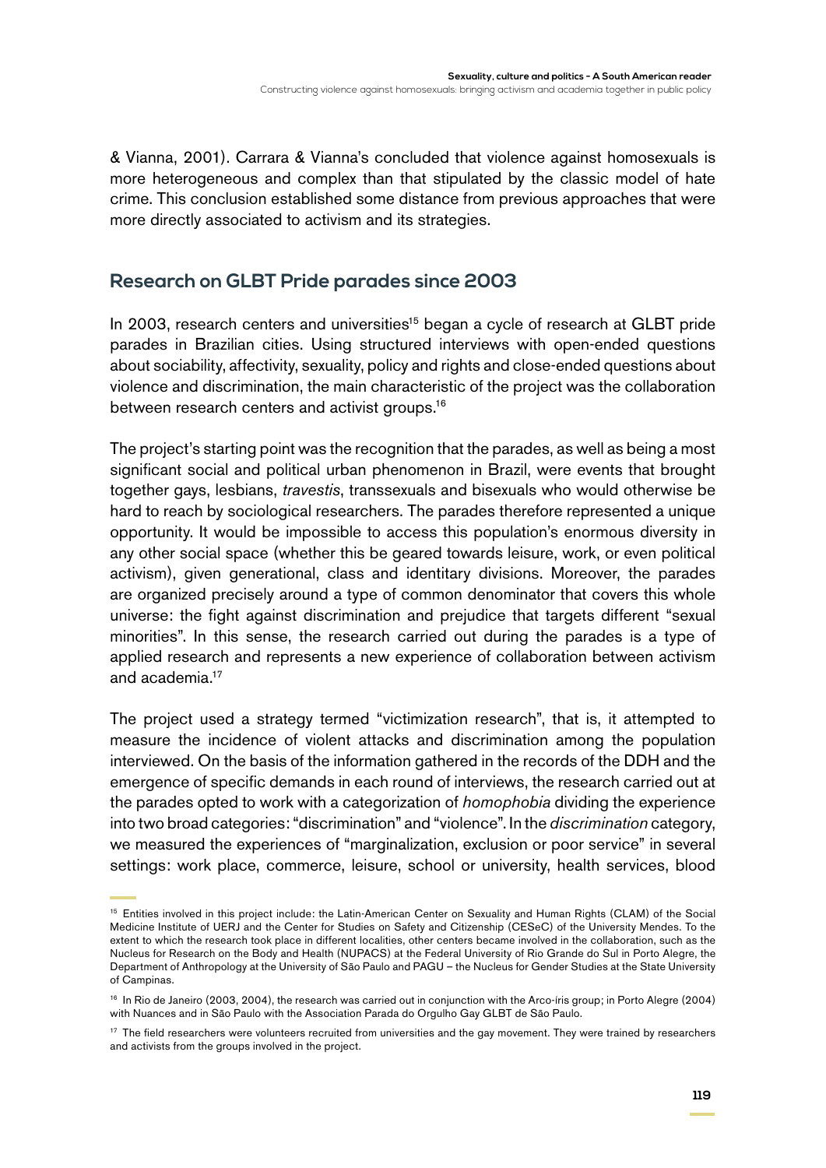& Vianna, 2001). Carrara & Vianna's concluded that violence against homosexuals is more heterogeneous and complex than that stipulated by the classic model of hate crime. This conclusion established some distance from previous approaches that were more directly associated to activism and its strategies.

# **Research on GLBT Pride parades since 2003**

In 2003, research centers and universities<sup>15</sup> began a cycle of research at GLBT pride parades in Brazilian cities. Using structured interviews with open-ended questions about sociability, affectivity, sexuality, policy and rights and close-ended questions about violence and discrimination, the main characteristic of the project was the collaboration between research centers and activist groups.<sup>16</sup>

The project's starting point was the recognition that the parades, as well as being a most significant social and political urban phenomenon in Brazil, were events that brought together gays, lesbians, *travestis*, transsexuals and bisexuals who would otherwise be hard to reach by sociological researchers. The parades therefore represented a unique opportunity. It would be impossible to access this population's enormous diversity in any other social space (whether this be geared towards leisure, work, or even political activism), given generational, class and identitary divisions. Moreover, the parades are organized precisely around a type of common denominator that covers this whole universe: the fight against discrimination and prejudice that targets different "sexual minorities". In this sense, the research carried out during the parades is a type of applied research and represents a new experience of collaboration between activism and academia.17

The project used a strategy termed "victimization research", that is, it attempted to measure the incidence of violent attacks and discrimination among the population interviewed. On the basis of the information gathered in the records of the DDH and the emergence of specific demands in each round of interviews, the research carried out at the parades opted to work with a categorization of *homophobia* dividing the experience into two broad categories: "discrimination" and "violence". In the *discrimination* category, we measured the experiences of "marginalization, exclusion or poor service" in several settings: work place, commerce, leisure, school or university, health services, blood

<sup>15</sup> Entities involved in this project include: the Latin-American Center on Sexuality and Human Rights (CLAM) of the Social Medicine Institute of UERJ and the Center for Studies on Safety and Citizenship (CESeC) of the University Mendes. To the extent to which the research took place in different localities, other centers became involved in the collaboration, such as the Nucleus for Research on the Body and Health (NUPACS) at the Federal University of Rio Grande do Sul in Porto Alegre, the Department of Anthropology at the University of São Paulo and PAGU – the Nucleus for Gender Studies at the State University of Campinas.

<sup>&</sup>lt;sup>16</sup> In Rio de Janeiro (2003, 2004), the research was carried out in conjunction with the Arco-íris group; in Porto Alegre (2004) with Nuances and in São Paulo with the Association Parada do Orgulho Gay GLBT de São Paulo.

<sup>&</sup>lt;sup>17</sup> The field researchers were volunteers recruited from universities and the gay movement. They were trained by researchers and activists from the groups involved in the project.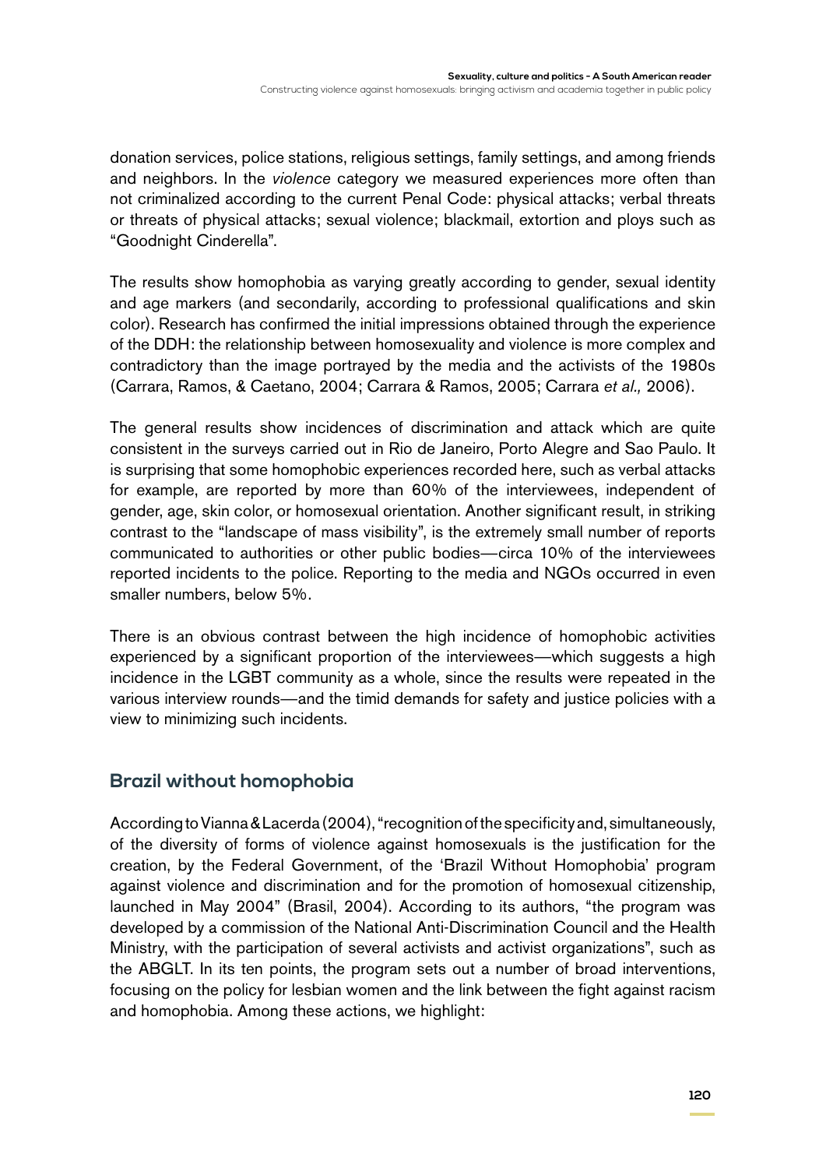donation services, police stations, religious settings, family settings, and among friends and neighbors. In the *violence* category we measured experiences more often than not criminalized according to the current Penal Code: physical attacks; verbal threats or threats of physical attacks; sexual violence; blackmail, extortion and ploys such as "Goodnight Cinderella".

The results show homophobia as varying greatly according to gender, sexual identity and age markers (and secondarily, according to professional qualifications and skin color). Research has confirmed the initial impressions obtained through the experience of the DDH: the relationship between homosexuality and violence is more complex and contradictory than the image portrayed by the media and the activists of the 1980s (Carrara, Ramos, & Caetano, 2004; Carrara & Ramos, 2005; Carrara *et al.,* 2006).

The general results show incidences of discrimination and attack which are quite consistent in the surveys carried out in Rio de Janeiro, Porto Alegre and Sao Paulo. It is surprising that some homophobic experiences recorded here, such as verbal attacks for example, are reported by more than 60% of the interviewees, independent of gender, age, skin color, or homosexual orientation. Another significant result, in striking contrast to the "landscape of mass visibility", is the extremely small number of reports communicated to authorities or other public bodies—circa 10% of the interviewees reported incidents to the police. Reporting to the media and NGOs occurred in even smaller numbers, below 5%.

There is an obvious contrast between the high incidence of homophobic activities experienced by a significant proportion of the interviewees—which suggests a high incidence in the LGBT community as a whole, since the results were repeated in the various interview rounds—and the timid demands for safety and justice policies with a view to minimizing such incidents.

# **Brazil without homophobia**

According to Vianna & Lacerda (2004), "recognition of the specificity and, simultaneously, of the diversity of forms of violence against homosexuals is the justification for the creation, by the Federal Government, of the 'Brazil Without Homophobia' program against violence and discrimination and for the promotion of homosexual citizenship, launched in May 2004" (Brasil, 2004). According to its authors, "the program was developed by a commission of the National Anti-Discrimination Council and the Health Ministry, with the participation of several activists and activist organizations", such as the ABGLT. In its ten points, the program sets out a number of broad interventions, focusing on the policy for lesbian women and the link between the fight against racism and homophobia. Among these actions, we highlight: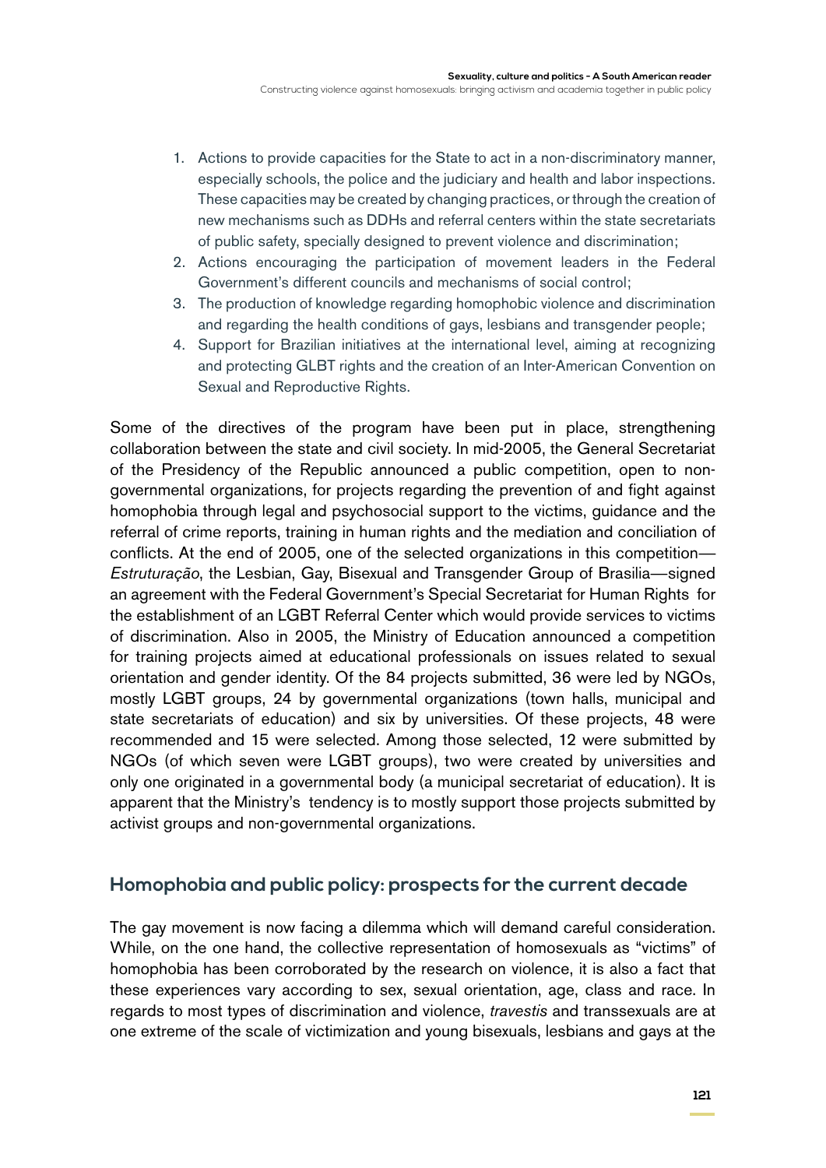Constructing violence against homosexuals: bringing activism and academia together in public policy

- 1. Actions to provide capacities for the State to act in a non-discriminatory manner, especially schools, the police and the judiciary and health and labor inspections. These capacities may be created by changing practices, or through the creation of new mechanisms such as DDHs and referral centers within the state secretariats of public safety, specially designed to prevent violence and discrimination;
- 2. Actions encouraging the participation of movement leaders in the Federal Government's different councils and mechanisms of social control;
- 3. The production of knowledge regarding homophobic violence and discrimination and regarding the health conditions of gays, lesbians and transgender people;
- 4. Support for Brazilian initiatives at the international level, aiming at recognizing and protecting GLBT rights and the creation of an Inter-American Convention on Sexual and Reproductive Rights.

Some of the directives of the program have been put in place, strengthening collaboration between the state and civil society. In mid-2005, the General Secretariat of the Presidency of the Republic announced a public competition, open to nongovernmental organizations, for projects regarding the prevention of and fight against homophobia through legal and psychosocial support to the victims, guidance and the referral of crime reports, training in human rights and the mediation and conciliation of conflicts. At the end of 2005, one of the selected organizations in this competition— *Estruturação*, the Lesbian, Gay, Bisexual and Transgender Group of Brasilia—signed an agreement with the Federal Government's Special Secretariat for Human Rights for the establishment of an LGBT Referral Center which would provide services to victims of discrimination. Also in 2005, the Ministry of Education announced a competition for training projects aimed at educational professionals on issues related to sexual orientation and gender identity. Of the 84 projects submitted, 36 were led by NGOs, mostly LGBT groups, 24 by governmental organizations (town halls, municipal and state secretariats of education) and six by universities. Of these projects, 48 were recommended and 15 were selected. Among those selected, 12 were submitted by NGOs (of which seven were LGBT groups), two were created by universities and only one originated in a governmental body (a municipal secretariat of education). It is apparent that the Ministry's tendency is to mostly support those projects submitted by activist groups and non-governmental organizations.

# **Homophobia and public policy: prospects for the current decade**

The gay movement is now facing a dilemma which will demand careful consideration. While, on the one hand, the collective representation of homosexuals as "victims" of homophobia has been corroborated by the research on violence, it is also a fact that these experiences vary according to sex, sexual orientation, age, class and race. In regards to most types of discrimination and violence, *travestis* and transsexuals are at one extreme of the scale of victimization and young bisexuals, lesbians and gays at the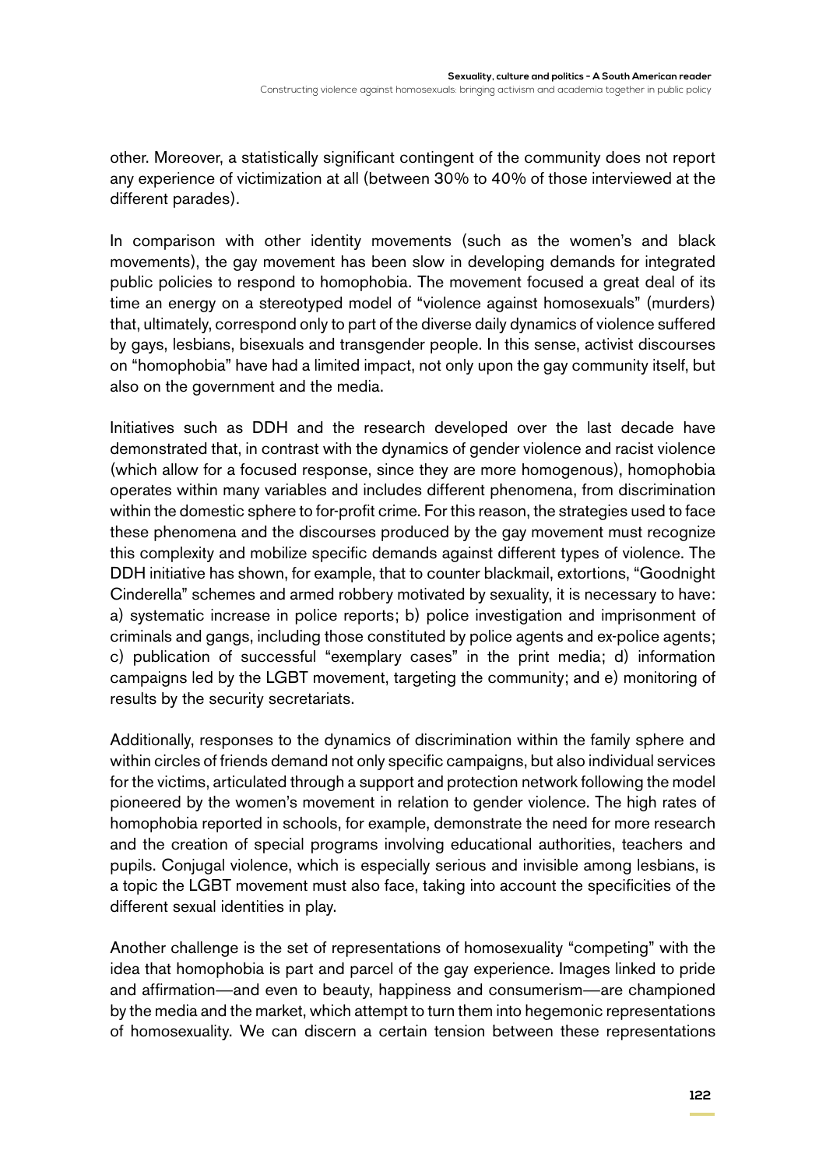other. Moreover, a statistically significant contingent of the community does not report any experience of victimization at all (between 30% to 40% of those interviewed at the different parades).

In comparison with other identity movements (such as the women's and black movements), the gay movement has been slow in developing demands for integrated public policies to respond to homophobia. The movement focused a great deal of its time an energy on a stereotyped model of "violence against homosexuals" (murders) that, ultimately, correspond only to part of the diverse daily dynamics of violence suffered by gays, lesbians, bisexuals and transgender people. In this sense, activist discourses on "homophobia" have had a limited impact, not only upon the gay community itself, but also on the government and the media.

Initiatives such as DDH and the research developed over the last decade have demonstrated that, in contrast with the dynamics of gender violence and racist violence (which allow for a focused response, since they are more homogenous), homophobia operates within many variables and includes different phenomena, from discrimination within the domestic sphere to for-profit crime. For this reason, the strategies used to face these phenomena and the discourses produced by the gay movement must recognize this complexity and mobilize specific demands against different types of violence. The DDH initiative has shown, for example, that to counter blackmail, extortions, "Goodnight Cinderella" schemes and armed robbery motivated by sexuality, it is necessary to have: a) systematic increase in police reports; b) police investigation and imprisonment of criminals and gangs, including those constituted by police agents and ex-police agents; c) publication of successful "exemplary cases" in the print media; d) information campaigns led by the LGBT movement, targeting the community; and e) monitoring of results by the security secretariats.

Additionally, responses to the dynamics of discrimination within the family sphere and within circles of friends demand not only specific campaigns, but also individual services for the victims, articulated through a support and protection network following the model pioneered by the women's movement in relation to gender violence. The high rates of homophobia reported in schools, for example, demonstrate the need for more research and the creation of special programs involving educational authorities, teachers and pupils. Conjugal violence, which is especially serious and invisible among lesbians, is a topic the LGBT movement must also face, taking into account the specificities of the different sexual identities in play.

Another challenge is the set of representations of homosexuality "competing" with the idea that homophobia is part and parcel of the gay experience. Images linked to pride and affirmation—and even to beauty, happiness and consumerism—are championed by the media and the market, which attempt to turn them into hegemonic representations of homosexuality. We can discern a certain tension between these representations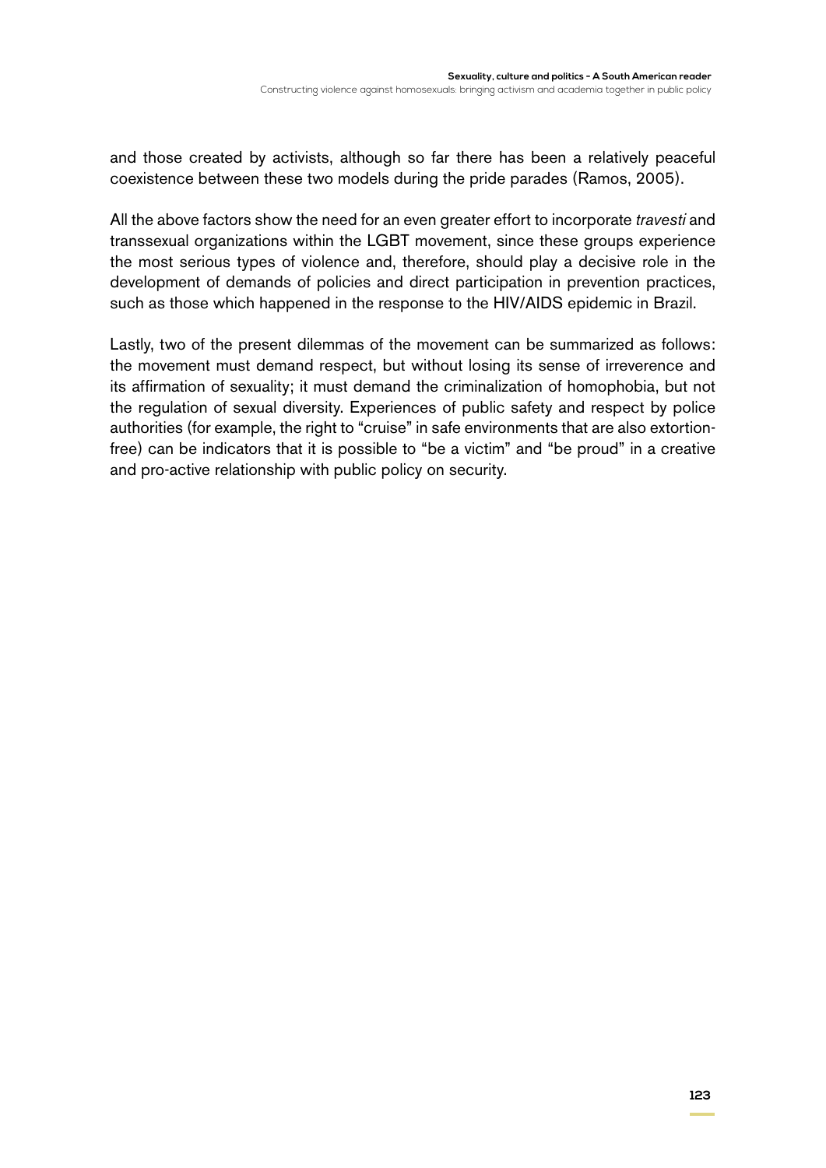and those created by activists, although so far there has been a relatively peaceful coexistence between these two models during the pride parades (Ramos, 2005).

All the above factors show the need for an even greater effort to incorporate *travesti* and transsexual organizations within the LGBT movement, since these groups experience the most serious types of violence and, therefore, should play a decisive role in the development of demands of policies and direct participation in prevention practices, such as those which happened in the response to the HIV/AIDS epidemic in Brazil.

Lastly, two of the present dilemmas of the movement can be summarized as follows: the movement must demand respect, but without losing its sense of irreverence and its affirmation of sexuality; it must demand the criminalization of homophobia, but not the regulation of sexual diversity. Experiences of public safety and respect by police authorities (for example, the right to "cruise" in safe environments that are also extortionfree) can be indicators that it is possible to "be a victim" and "be proud" in a creative and pro-active relationship with public policy on security.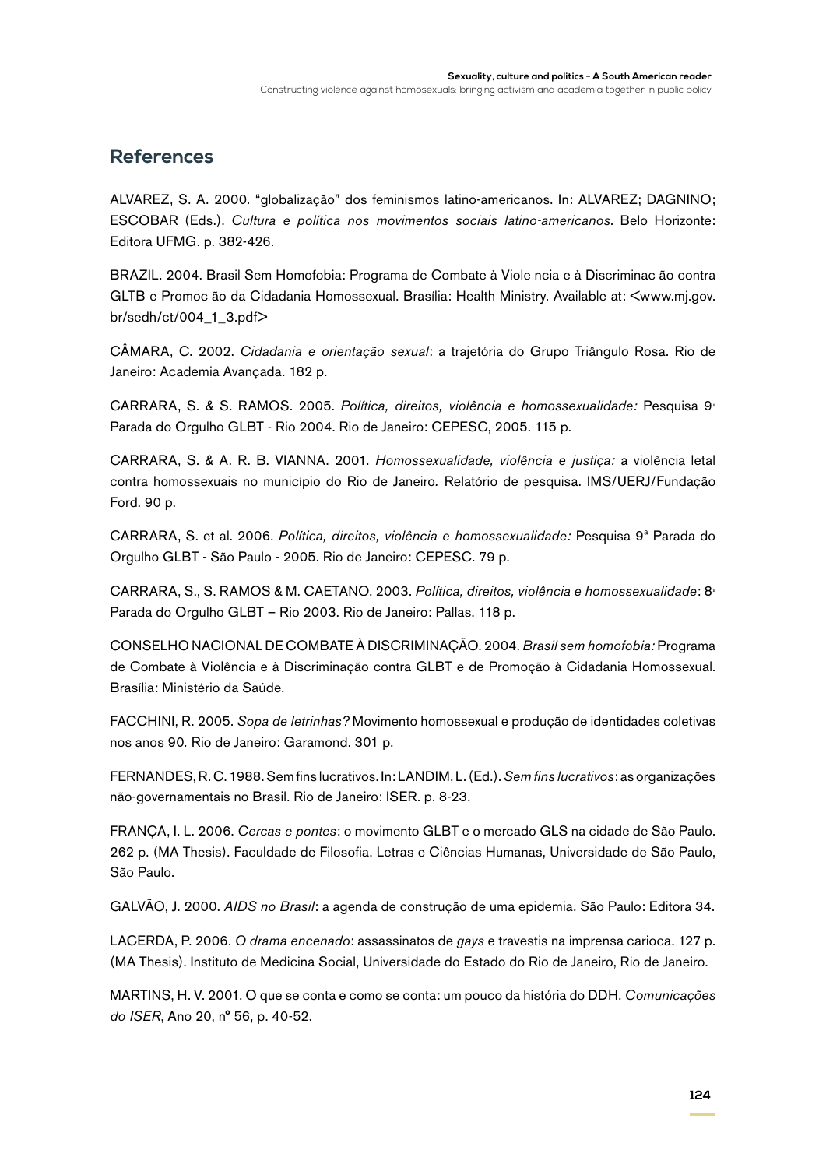#### **References**

ALVAREZ, S. A. 2000. "globalização" dos feminismos latino-americanos. In: ALVAREZ; DAGNINO; ESCOBAR (Eds.). *Cultura e política nos movimentos sociais latino-americanos*. Belo Horizonte: Editora UFMG. p. 382-426.

BRAZIL. 2004. Brasil Sem Homofobia: Programa de Combate à Viole ncia e à Discriminac ão contra GLTB e Promoção da Cidadania Homossexual. Brasília: Health Ministry. Available at: <www.mj.gov. br/sedh/ct/004\_1\_3.pdf>

CÂMARA, C. 2002. *Cidadania e orientação sexual*: a trajetória do Grupo Triângulo Rosa. Rio de Janeiro: Academia Avançada. 182 p.

CARRARA, S. & S. RAMOS. 2005. *Política, direitos, violência e homossexualidade:* Pesquisa 9ª Parada do Orgulho GLBT - Rio 2004. Rio de Janeiro: CEPESC, 2005. 115 p.

CARRARA, S. & A. R. B. VIANNA. 2001. *Homossexualidade, violência e justiça:* a violência letal contra homossexuais no município do Rio de Janeiro*.* Relatório de pesquisa. IMS/UERJ/Fundação Ford. 90 p.

CARRARA, S. et al. 2006. *Política, direitos, violência e homossexualidade:* Pesquisa 9ª Parada do Orgulho GLBT - São Paulo - 2005. Rio de Janeiro: CEPESC. 79 p.

CARRARA, S., S. RAMOS & M. CAETANO. 2003. *Política, direitos, violência e homossexualidade*: 8ª Parada do Orgulho GLBT – Rio 2003. Rio de Janeiro: Pallas. 118 p.

CONSELHO NACIONAL DE COMBATE À DISCRIMINAÇÃO. 2004. *Brasil sem homofobia:* Programa de Combate à Violência e à Discriminação contra GLBT e de Promoção à Cidadania Homossexual. Brasília: Ministério da Saúde.

FACCHINI, R. 2005. *Sopa de letrinhas?* Movimento homossexual e produção de identidades coletivas nos anos 90*.* Rio de Janeiro: Garamond. 301 p.

FERNANDES, R. C. 1988. Sem fins lucrativos. In: LANDIM, L. (Ed.). *Sem fins lucrativos*: as organizações não-governamentais no Brasil. Rio de Janeiro: ISER. p. 8-23.

FRANÇA, I. L. 2006. *Cercas e pontes*: o movimento GLBT e o mercado GLS na cidade de São Paulo. 262 p. (MA Thesis). Faculdade de Filosofia, Letras e Ciências Humanas, Universidade de São Paulo, São Paulo.

GALVÃO, J. 2000. *AIDS no Brasil*: a agenda de construção de uma epidemia. São Paulo: Editora 34.

LACERDA, P. 2006. *O drama encenado*: assassinatos de *gays* e travestis na imprensa carioca. 127 p. (MA Thesis). Instituto de Medicina Social, Universidade do Estado do Rio de Janeiro, Rio de Janeiro.

MARTINS, H. V. 2001. O que se conta e como se conta: um pouco da história do DDH. *Comunicações do ISER*, Ano 20, n° 56, p. 40-52.